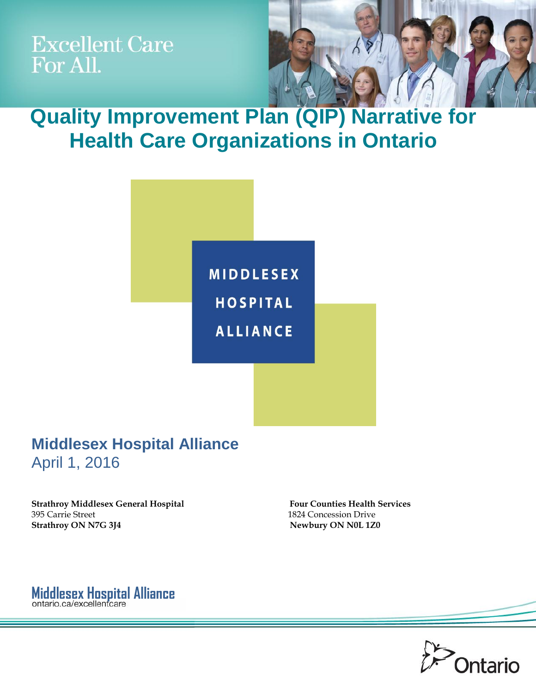**Excellent Care** For All.



**Quality Improvement Plan (QIP) Narrative for Health Care Organizations in Ontario**



## **Middlesex Hospital Alliance**  April 1, 2016

**Strathroy Middlesex General Hospital Four Counties Health Services** 395 Carrie Street 1824 Concession Drive **Strathroy ON N7G 3J4** Newbury ON N0L 1Z0

**Middlesex Hospital Alliance** 

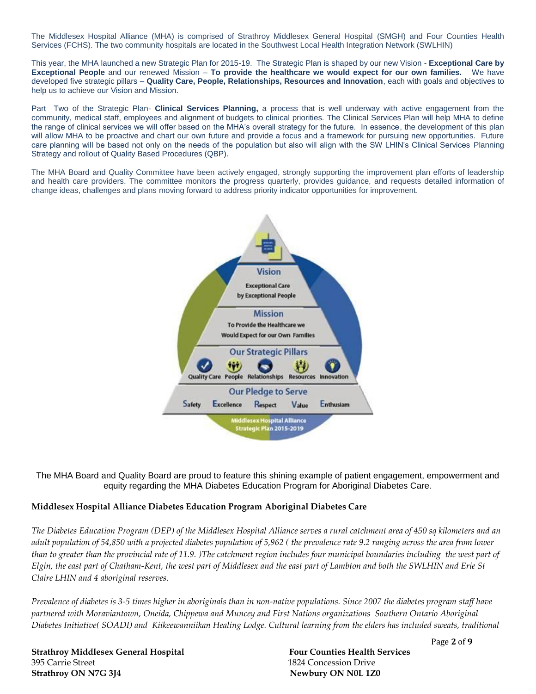The Middlesex Hospital Alliance (MHA) is comprised of Strathroy Middlesex General Hospital (SMGH) and Four Counties Health Services (FCHS). The two community hospitals are located in the Southwest Local Health Integration Network (SWLHIN)

This year, the MHA launched a new Strategic Plan for 2015-19. The Strategic Plan is shaped by our new Vision - **Exceptional Care by Exceptional People** and our renewed Mission – **To provide the healthcare we would expect for our own families.** We have developed five strategic pillars – **Quality Care, People, Relationships, Resources and Innovation**, each with goals and objectives to help us to achieve our Vision and Mission.

Part Two of the Strategic Plan- **Clinical Services Planning,** a process that is well underway with active engagement from the community, medical staff, employees and alignment of budgets to clinical priorities. The Clinical Services Plan will help MHA to define the range of clinical services we will offer based on the MHA's overall strategy for the future. In essence, the development of this plan will allow MHA to be proactive and chart our own future and provide a focus and a framework for pursuing new opportunities. Future care planning will be based not only on the needs of the population but also will align with the SW LHIN's Clinical Services Planning Strategy and rollout of Quality Based Procedures (QBP).

The MHA Board and Quality Committee have been actively engaged, strongly supporting the improvement plan efforts of leadership and health care providers. The committee monitors the progress quarterly, provides guidance, and requests detailed information of change ideas, challenges and plans moving forward to address priority indicator opportunities for improvement.



The MHA Board and Quality Board are proud to feature this shining example of patient engagement, empowerment and equity regarding the MHA Diabetes Education Program for Aboriginal Diabetes Care.

### **Middlesex Hospital Alliance Diabetes Education Program Aboriginal Diabetes Care**

*The Diabetes Education Program (DEP) of the Middlesex Hospital Alliance serves a rural catchment area of 450 sq kilometers and an adult population of 54,850 with a projected diabetes population of 5,962 ( the prevalence rate 9.2 ranging across the area from lower than to greater than the provincial rate of 11.9. )The catchment region includes four municipal boundaries including the west part of Elgin, the east part of Chatham-Kent, the west part of Middlesex and the east part of Lambton and both the SWLHIN and Erie St Claire LHIN and 4 aboriginal reserves.* 

*Prevalence of diabetes is 3-5 times higher in aboriginals than in non-native populations. Since 2007 the diabetes program staff have partnered with Moraviantown, Oneida, Chippewa and Muncey and First Nations organizations Southern Ontario Aboriginal Diabetes Initiative( SOADI) and Kiikeewanniikan Healing Lodge. Cultural learning from the elders has included sweats, traditional* 

**Strathroy Middlesex General Hospital Four Counties Health Services** 395 Carrie Street 1824 Concession Drive **Strathroy ON N7G 3J4** Newbury ON N0L 1Z0

Page **2** of **9**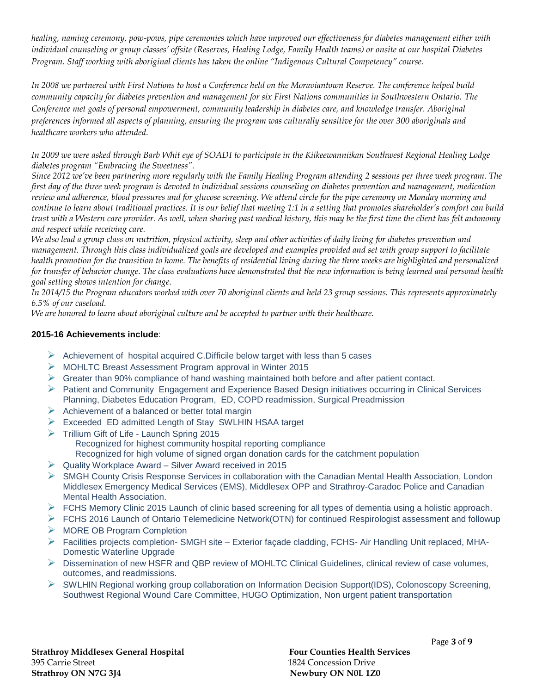*healing, naming ceremony, pow-pows, pipe ceremonies which have improved our effectiveness for diabetes management either with individual counseling or group classes' offsite (Reserves, Healing Lodge, Family Health teams) or onsite at our hospital Diabetes Program. Staff working with aboriginal clients has taken the online "Indigenous Cultural Competency" course.*

*In 2008 we partnered with First Nations to host a Conference held on the Moraviantown Reserve. The conference helped build community capacity for diabetes prevention and management for six First Nations communities in Southwestern Ontario. The Conference met goals of personal empowerment, community leadership in diabetes care, and knowledge transfer. Aboriginal preferences informed all aspects of planning, ensuring the program was culturally sensitive for the over 300 aboriginals and healthcare workers who attended.*

*In 2009 we were asked through Barb Whit eye of SOADI to participate in the Kiikeewanniikan Southwest Regional Healing Lodge diabetes program "Embracing the Sweetness".* 

*Since 2012 we've been partnering more regularly with the Family Healing Program attending 2 sessions per three week program. The first day of the three week program is devoted to individual sessions counseling on diabetes prevention and management, medication review and adherence, blood pressures and for glucose screening. We attend circle for the pipe ceremony on Monday morning and continue to learn about traditional practices. It is our belief that meeting 1:1 in a setting that promotes shareholder's comfort can build trust with a Western care provider. As well, when sharing past medical history, this may be the first time the client has felt autonomy and respect while receiving care.* 

*We also lead a group class on nutrition, physical activity, sleep and other activities of daily living for diabetes prevention and management. Through this class individualized goals are developed and examples provided and set with group support to facilitate health promotion for the transition to home. The benefits of residential living during the three weeks are highlighted and personalized for transfer of behavior change. The class evaluations have demonstrated that the new information is being learned and personal health goal setting shows intention for change.*

*In 2014/15 the Program educators worked with over 70 aboriginal clients and held 23 group sessions. This represents approximately 6.5% of our caseload.*

*We are honored to learn about aboriginal culture and be accepted to partner with their healthcare.* 

### **2015-16 Achievements include**:

- $\triangleright$  Achievement of hospital acquired C. Difficile below target with less than 5 cases
- MOHLTC Breast Assessment Program approval in Winter 2015
- $\triangleright$  Greater than 90% compliance of hand washing maintained both before and after patient contact.
- $\triangleright$  Patient and Community Engagement and Experience Based Design initiatives occurring in Clinical Services Planning, Diabetes Education Program, ED, COPD readmission, Surgical Preadmission
- $\triangleright$  Achievement of a balanced or better total margin
- Exceeded ED admitted Length of Stay SWLHIN HSAA target
- $\triangleright$  Trillium Gift of Life Launch Spring 2015 Recognized for highest community hospital reporting compliance Recognized for high volume of signed organ donation cards for the catchment population
- $\triangleright$  Quality Workplace Award Silver Award received in 2015
- SMGH County Crisis Response Services in collaboration with the Canadian Mental Health Association, London Middlesex Emergency Medical Services (EMS), Middlesex OPP and Strathroy-Caradoc Police and Canadian Mental Health Association.
- $\triangleright$  FCHS Memory Clinic 2015 Launch of clinic based screening for all types of dementia using a holistic approach.
- $\triangleright$  FCHS 2016 Launch of Ontario Telemedicine Network(OTN) for continued Respirologist assessment and followup
- **MORE OB Program Completion**
- ▶ Facilities projects completion- SMGH site Exterior facade cladding, FCHS- Air Handling Unit replaced, MHA-Domestic Waterline Upgrade
- Dissemination of new HSFR and QBP review of MOHLTC Clinical Guidelines, clinical review of case volumes, outcomes, and readmissions.
- SWLHIN Regional working group collaboration on Information Decision Support(IDS), Colonoscopy Screening, Southwest Regional Wound Care Committee, HUGO Optimization, Non urgent patient transportation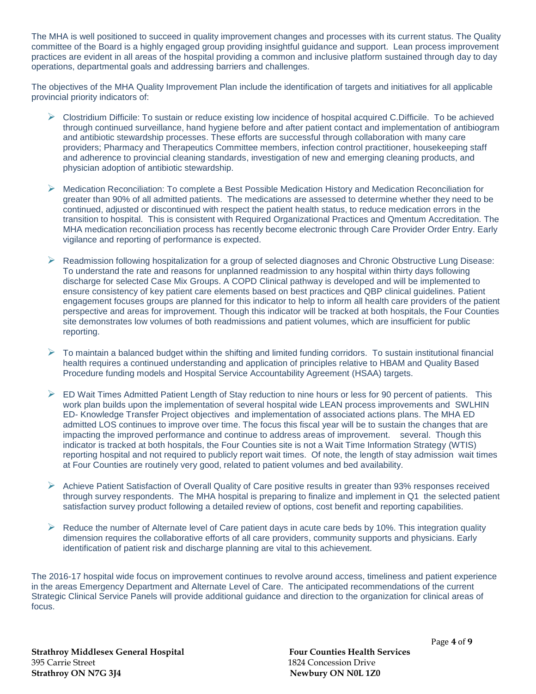The MHA is well positioned to succeed in quality improvement changes and processes with its current status. The Quality committee of the Board is a highly engaged group providing insightful guidance and support. Lean process improvement practices are evident in all areas of the hospital providing a common and inclusive platform sustained through day to day operations, departmental goals and addressing barriers and challenges.

The objectives of the MHA Quality Improvement Plan include the identification of targets and initiatives for all applicable provincial priority indicators of:

- Clostridium Difficile: To sustain or reduce existing low incidence of hospital acquired C.Difficile. To be achieved through continued surveillance, hand hygiene before and after patient contact and implementation of antibiogram and antibiotic stewardship processes. These efforts are successful through collaboration with many care providers; Pharmacy and Therapeutics Committee members, infection control practitioner, housekeeping staff and adherence to provincial cleaning standards, investigation of new and emerging cleaning products, and physician adoption of antibiotic stewardship.
- $\triangleright$  Medication Reconciliation: To complete a Best Possible Medication History and Medication Reconciliation for greater than 90% of all admitted patients. The medications are assessed to determine whether they need to be continued, adjusted or discontinued with respect the patient health status, to reduce medication errors in the transition to hospital. This is consistent with Required Organizational Practices and Qmentum Accreditation. The MHA medication reconciliation process has recently become electronic through Care Provider Order Entry. Early vigilance and reporting of performance is expected.
- Readmission following hospitalization for a group of selected diagnoses and Chronic Obstructive Lung Disease: To understand the rate and reasons for unplanned readmission to any hospital within thirty days following discharge for selected Case Mix Groups. A COPD Clinical pathway is developed and will be implemented to ensure consistency of key patient care elements based on best practices and QBP clinical guidelines. Patient engagement focuses groups are planned for this indicator to help to inform all health care providers of the patient perspective and areas for improvement. Though this indicator will be tracked at both hospitals, the Four Counties site demonstrates low volumes of both readmissions and patient volumes, which are insufficient for public reporting.
- $\triangleright$  To maintain a balanced budget within the shifting and limited funding corridors. To sustain institutional financial health requires a continued understanding and application of principles relative to HBAM and Quality Based Procedure funding models and Hospital Service Accountability Agreement (HSAA) targets.
- $\triangleright$  ED Wait Times Admitted Patient Length of Stay reduction to nine hours or less for 90 percent of patients. This work plan builds upon the implementation of several hospital wide LEAN process improvements and SWLHIN ED- Knowledge Transfer Project objectives and implementation of associated actions plans. The MHA ED admitted LOS continues to improve over time. The focus this fiscal year will be to sustain the changes that are impacting the improved performance and continue to address areas of improvement. several. Though this indicator is tracked at both hospitals, the Four Counties site is not a Wait Time Information Strategy (WTIS) reporting hospital and not required to publicly report wait times. Of note, the length of stay admission wait times at Four Counties are routinely very good, related to patient volumes and bed availability.
- $\triangleright$  Achieve Patient Satisfaction of Overall Quality of Care positive results in greater than 93% responses received through survey respondents. The MHA hospital is preparing to finalize and implement in Q1 the selected patient satisfaction survey product following a detailed review of options, cost benefit and reporting capabilities.
- $\triangleright$  Reduce the number of Alternate level of Care patient days in acute care beds by 10%. This integration quality dimension requires the collaborative efforts of all care providers, community supports and physicians. Early identification of patient risk and discharge planning are vital to this achievement.

The 2016-17 hospital wide focus on improvement continues to revolve around access, timeliness and patient experience in the areas Emergency Department and Alternate Level of Care. The anticipated recommendations of the current Strategic Clinical Service Panels will provide additional guidance and direction to the organization for clinical areas of focus.

**Strathroy Middlesex General Hospital Four Counties Health Services** 395 Carrie Street 1824 Concession Drive **Strathroy ON N7G 3J4** Newbury ON N0L 1Z0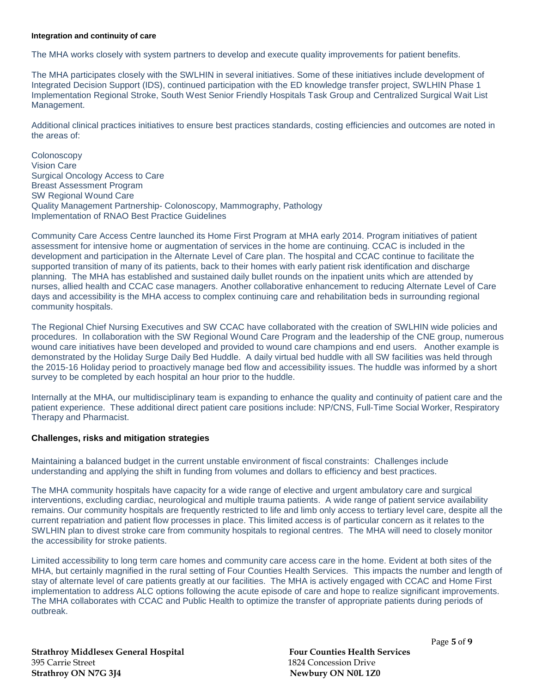#### **Integration and continuity of care**

The MHA works closely with system partners to develop and execute quality improvements for patient benefits.

The MHA participates closely with the SWLHIN in several initiatives. Some of these initiatives include development of Integrated Decision Support (IDS), continued participation with the ED knowledge transfer project, SWLHIN Phase 1 Implementation Regional Stroke, South West Senior Friendly Hospitals Task Group and Centralized Surgical Wait List Management.

Additional clinical practices initiatives to ensure best practices standards, costing efficiencies and outcomes are noted in the areas of:

Colonoscopy Vision Care Surgical Oncology Access to Care Breast Assessment Program SW Regional Wound Care Quality Management Partnership- Colonoscopy, Mammography, Pathology Implementation of RNAO Best Practice Guidelines

Community Care Access Centre launched its Home First Program at MHA early 2014. Program initiatives of patient assessment for intensive home or augmentation of services in the home are continuing. CCAC is included in the development and participation in the Alternate Level of Care plan. The hospital and CCAC continue to facilitate the supported transition of many of its patients, back to their homes with early patient risk identification and discharge planning. The MHA has established and sustained daily bullet rounds on the inpatient units which are attended by nurses, allied health and CCAC case managers. Another collaborative enhancement to reducing Alternate Level of Care days and accessibility is the MHA access to complex continuing care and rehabilitation beds in surrounding regional community hospitals.

The Regional Chief Nursing Executives and SW CCAC have collaborated with the creation of SWLHIN wide policies and procedures. In collaboration with the SW Regional Wound Care Program and the leadership of the CNE group, numerous wound care initiatives have been developed and provided to wound care champions and end users. Another example is demonstrated by the Holiday Surge Daily Bed Huddle. A daily virtual bed huddle with all SW facilities was held through the 2015-16 Holiday period to proactively manage bed flow and accessibility issues. The huddle was informed by a short survey to be completed by each hospital an hour prior to the huddle.

Internally at the MHA, our multidisciplinary team is expanding to enhance the quality and continuity of patient care and the patient experience. These additional direct patient care positions include: NP/CNS, Full-Time Social Worker, Respiratory Therapy and Pharmacist.

#### **Challenges, risks and mitigation strategies**

Maintaining a balanced budget in the current unstable environment of fiscal constraints: Challenges include understanding and applying the shift in funding from volumes and dollars to efficiency and best practices.

The MHA community hospitals have capacity for a wide range of elective and urgent ambulatory care and surgical interventions, excluding cardiac, neurological and multiple trauma patients. A wide range of patient service availability remains. Our community hospitals are frequently restricted to life and limb only access to tertiary level care, despite all the current repatriation and patient flow processes in place. This limited access is of particular concern as it relates to the SWLHIN plan to divest stroke care from community hospitals to regional centres. The MHA will need to closely monitor the accessibility for stroke patients.

Limited accessibility to long term care homes and community care access care in the home. Evident at both sites of the MHA, but certainly magnified in the rural setting of Four Counties Health Services. This impacts the number and length of stay of alternate level of care patients greatly at our facilities. The MHA is actively engaged with CCAC and Home First implementation to address ALC options following the acute episode of care and hope to realize significant improvements. The MHA collaborates with CCAC and Public Health to optimize the transfer of appropriate patients during periods of outbreak.

**Strathroy Middlesex General Hospital Four Counties Health Services** 395 Carrie Street 1824 Concession Drive **Strathroy ON N7G 3J4** Newbury ON N0L 1Z0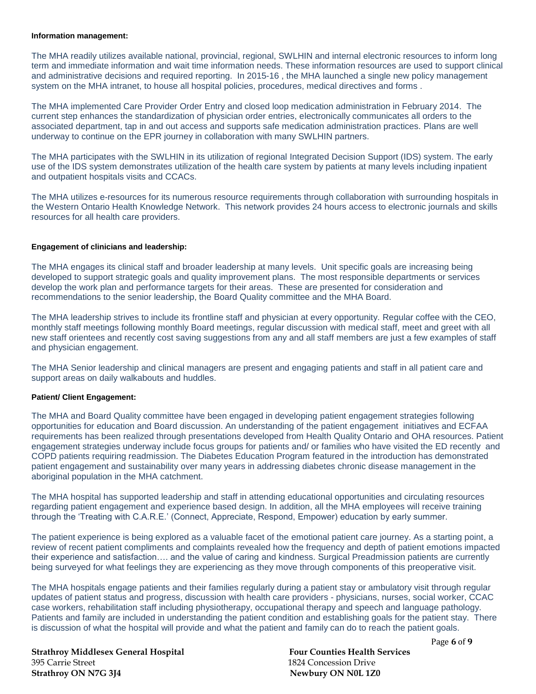#### **Information management:**

The MHA readily utilizes available national, provincial, regional, SWLHIN and internal electronic resources to inform long term and immediate information and wait time information needs. These information resources are used to support clinical and administrative decisions and required reporting. In 2015-16 , the MHA launched a single new policy management system on the MHA intranet, to house all hospital policies, procedures, medical directives and forms .

The MHA implemented Care Provider Order Entry and closed loop medication administration in February 2014. The current step enhances the standardization of physician order entries, electronically communicates all orders to the associated department, tap in and out access and supports safe medication administration practices. Plans are well underway to continue on the EPR journey in collaboration with many SWLHIN partners.

The MHA participates with the SWLHIN in its utilization of regional Integrated Decision Support (IDS) system. The early use of the IDS system demonstrates utilization of the health care system by patients at many levels including inpatient and outpatient hospitals visits and CCACs.

The MHA utilizes e-resources for its numerous resource requirements through collaboration with surrounding hospitals in the Western Ontario Health Knowledge Network. This network provides 24 hours access to electronic journals and skills resources for all health care providers.

#### **Engagement of clinicians and leadership:**

The MHA engages its clinical staff and broader leadership at many levels. Unit specific goals are increasing being developed to support strategic goals and quality improvement plans. The most responsible departments or services develop the work plan and performance targets for their areas. These are presented for consideration and recommendations to the senior leadership, the Board Quality committee and the MHA Board.

The MHA leadership strives to include its frontline staff and physician at every opportunity. Regular coffee with the CEO, monthly staff meetings following monthly Board meetings, regular discussion with medical staff, meet and greet with all new staff orientees and recently cost saving suggestions from any and all staff members are just a few examples of staff and physician engagement.

The MHA Senior leadership and clinical managers are present and engaging patients and staff in all patient care and support areas on daily walkabouts and huddles.

#### **Patient/ Client Engagement:**

The MHA and Board Quality committee have been engaged in developing patient engagement strategies following opportunities for education and Board discussion. An understanding of the patient engagement initiatives and ECFAA requirements has been realized through presentations developed from Health Quality Ontario and OHA resources. Patient engagement strategies underway include focus groups for patients and/ or families who have visited the ED recently and COPD patients requiring readmission. The Diabetes Education Program featured in the introduction has demonstrated patient engagement and sustainability over many years in addressing diabetes chronic disease management in the aboriginal population in the MHA catchment.

The MHA hospital has supported leadership and staff in attending educational opportunities and circulating resources regarding patient engagement and experience based design. In addition, all the MHA employees will receive training through the 'Treating with C.A.R.E.' (Connect, Appreciate, Respond, Empower) education by early summer.

The patient experience is being explored as a valuable facet of the emotional patient care journey. As a starting point, a review of recent patient compliments and complaints revealed how the frequency and depth of patient emotions impacted their experience and satisfaction…. and the value of caring and kindness. Surgical Preadmission patients are currently being surveyed for what feelings they are experiencing as they move through components of this preoperative visit.

The MHA hospitals engage patients and their families regularly during a patient stay or ambulatory visit through regular updates of patient status and progress, discussion with health care providers - physicians, nurses, social worker, CCAC case workers, rehabilitation staff including physiotherapy, occupational therapy and speech and language pathology. Patients and family are included in understanding the patient condition and establishing goals for the patient stay. There is discussion of what the hospital will provide and what the patient and family can do to reach the patient goals.

**Strathroy Middlesex General Hospital Four Counties Health Services** 395 Carrie Street 1824 Concession Drive **Strathroy ON N7G 3J4** Newbury ON N0L 1Z0

Page **6** of **9**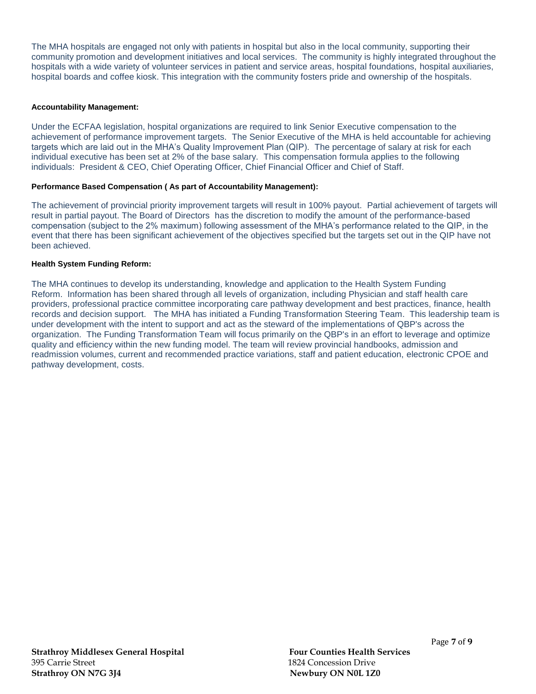The MHA hospitals are engaged not only with patients in hospital but also in the local community, supporting their community promotion and development initiatives and local services. The community is highly integrated throughout the hospitals with a wide variety of volunteer services in patient and service areas, hospital foundations, hospital auxiliaries, hospital boards and coffee kiosk. This integration with the community fosters pride and ownership of the hospitals.

#### **Accountability Management:**

Under the ECFAA legislation, hospital organizations are required to link Senior Executive compensation to the achievement of performance improvement targets. The Senior Executive of the MHA is held accountable for achieving targets which are laid out in the MHA's Quality Improvement Plan (QIP). The percentage of salary at risk for each individual executive has been set at 2% of the base salary. This compensation formula applies to the following individuals: President & CEO, Chief Operating Officer, Chief Financial Officer and Chief of Staff.

#### **Performance Based Compensation ( As part of Accountability Management):**

The achievement of provincial priority improvement targets will result in 100% payout. Partial achievement of targets will result in partial payout. The Board of Directors has the discretion to modify the amount of the performance-based compensation (subject to the 2% maximum) following assessment of the MHA's performance related to the QIP, in the event that there has been significant achievement of the objectives specified but the targets set out in the QIP have not been achieved.

#### **Health System Funding Reform:**

The MHA continues to develop its understanding, knowledge and application to the Health System Funding Reform. Information has been shared through all levels of organization, including Physician and staff health care providers, professional practice committee incorporating care pathway development and best practices, finance, health records and decision support. The MHA has initiated a Funding Transformation Steering Team. This leadership team is under development with the intent to support and act as the steward of the implementations of QBP's across the organization. The Funding Transformation Team will focus primarily on the QBP's in an effort to leverage and optimize quality and efficiency within the new funding model. The team will review provincial handbooks, admission and readmission volumes, current and recommended practice variations, staff and patient education, electronic CPOE and pathway development, costs.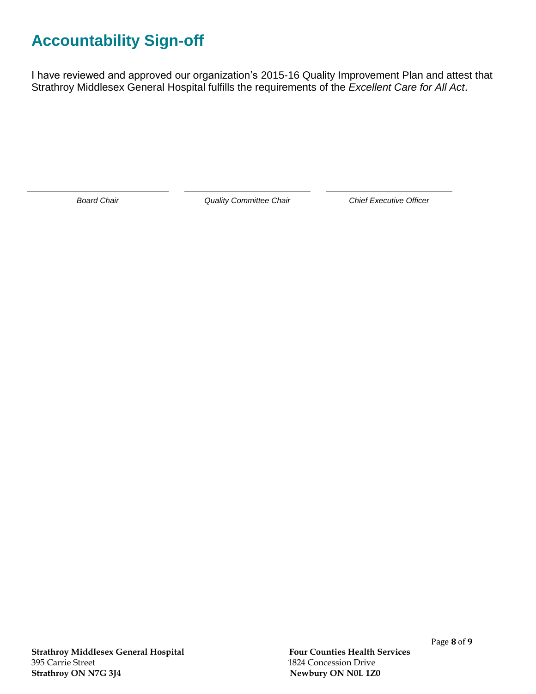# **Accountability Sign-off**

I have reviewed and approved our organization's 2015-16 Quality Improvement Plan and attest that Strathroy Middlesex General Hospital fulfills the requirements of the *Excellent Care for All Act*.

*Board Chair Quality Committee Chair Chief Executive Officer*